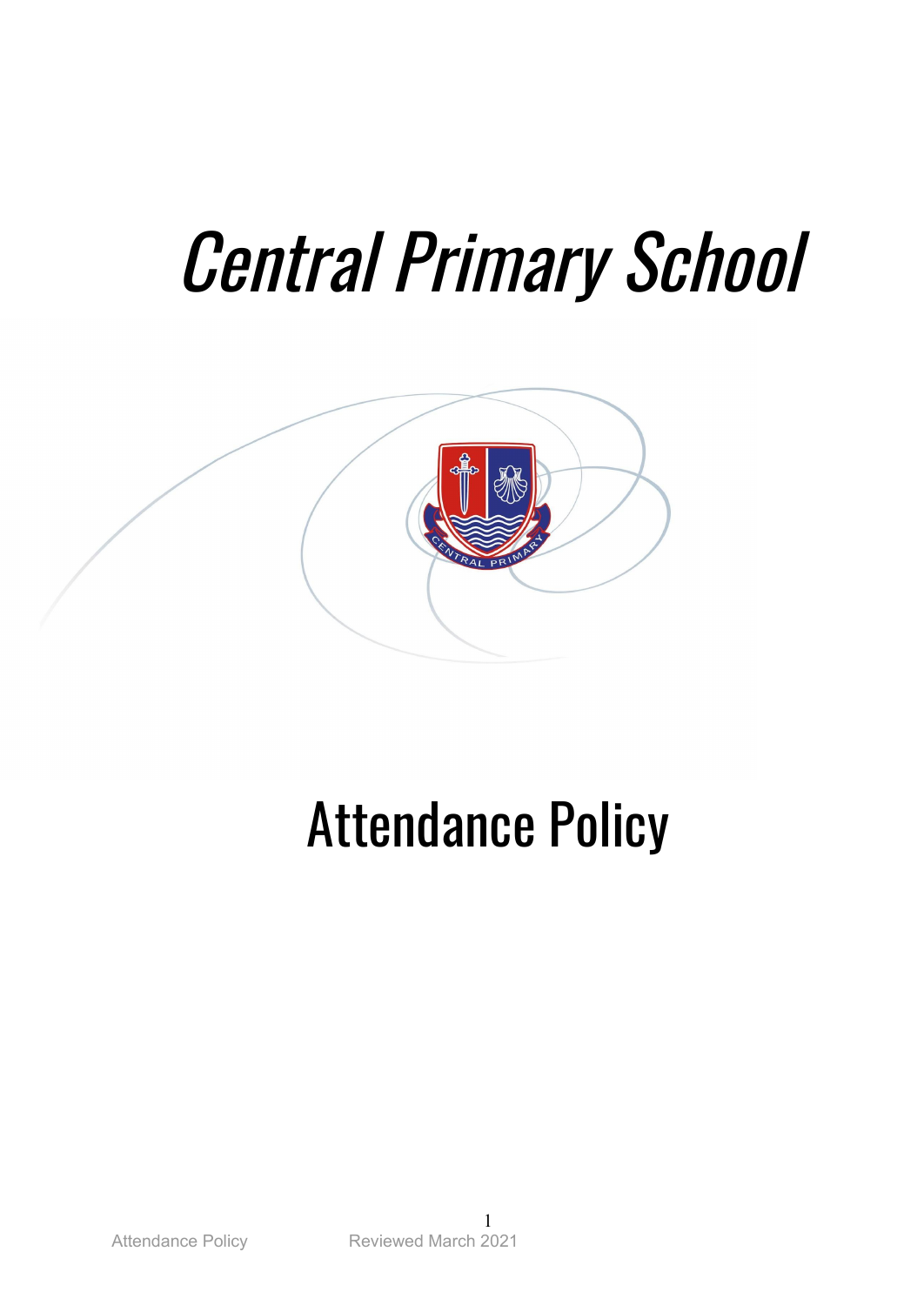# Central Primary School



## Attendance Policy

1 Attendance Policy Reviewed March 2021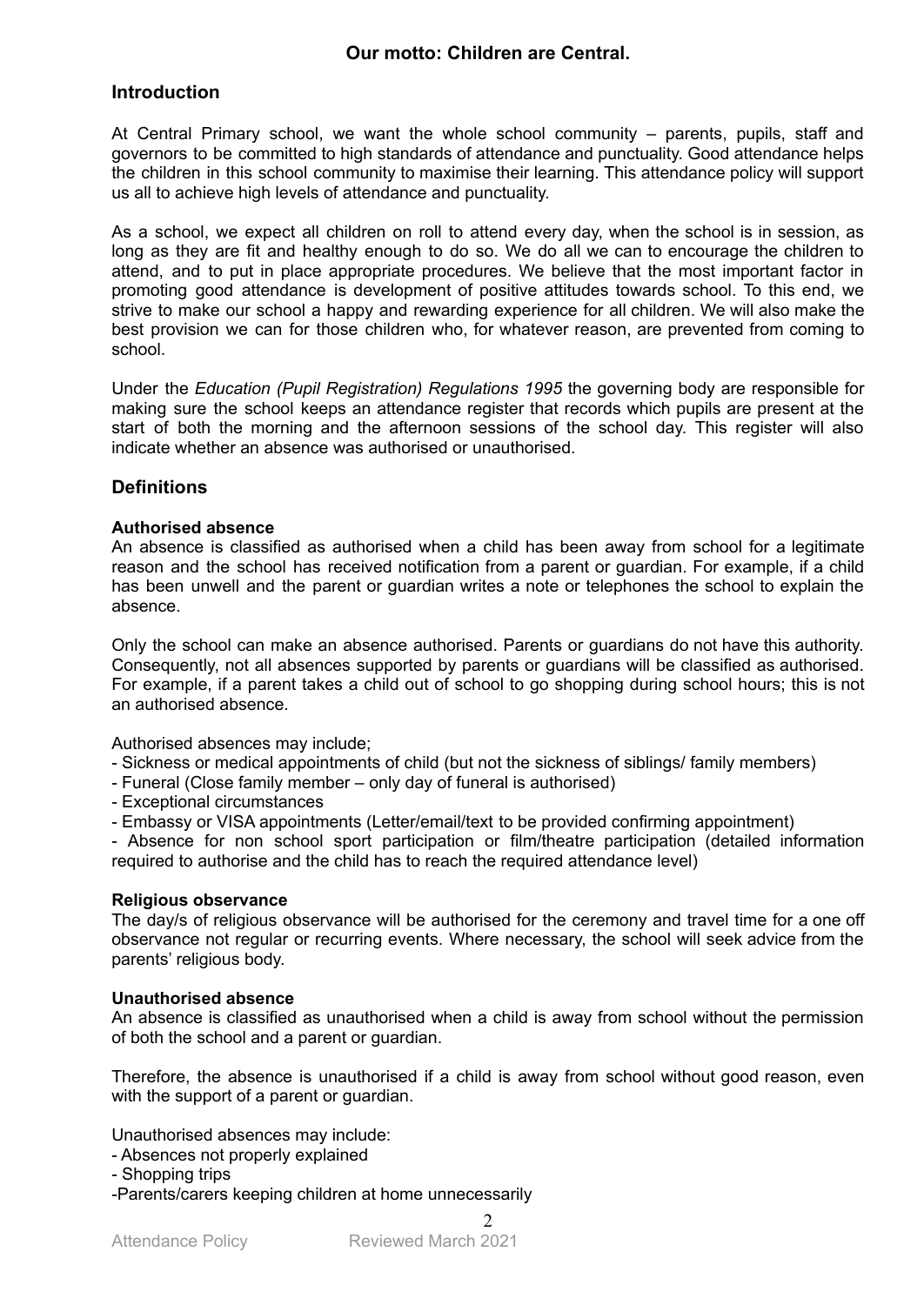#### **Our motto: Children are Central.**

#### **Introduction**

At Central Primary school, we want the whole school community – parents, pupils, staff and governors to be committed to high standards of attendance and punctuality. Good attendance helps the children in this school community to maximise their learning. This attendance policy will support us all to achieve high levels of attendance and punctuality.

As a school, we expect all children on roll to attend every day, when the school is in session, as long as they are fit and healthy enough to do so. We do all we can to encourage the children to attend, and to put in place appropriate procedures. We believe that the most important factor in promoting good attendance is development of positive attitudes towards school. To this end, we strive to make our school a happy and rewarding experience for all children. We will also make the best provision we can for those children who, for whatever reason, are prevented from coming to school.

Under the *Education (Pupil Registration) Regulations 1995* the governing body are responsible for making sure the school keeps an attendance register that records which pupils are present at the start of both the morning and the afternoon sessions of the school day. This register will also indicate whether an absence was authorised or unauthorised.

#### **Definitions**

#### **Authorised absence**

An absence is classified as authorised when a child has been away from school for a legitimate reason and the school has received notification from a parent or guardian. For example, if a child has been unwell and the parent or guardian writes a note or telephones the school to explain the absence.

Only the school can make an absence authorised. Parents or guardians do not have this authority. Consequently, not all absences supported by parents or guardians will be classified as authorised. For example, if a parent takes a child out of school to go shopping during school hours; this is not an authorised absence.

Authorised absences may include;

- Sickness or medical appointments of child (but not the sickness of siblings/ family members)

- Funeral (Close family member only day of funeral is authorised)
- Exceptional circumstances
- Embassy or VISA appointments (Letter/email/text to be provided confirming appointment)

- Absence for non school sport participation or film/theatre participation (detailed information required to authorise and the child has to reach the required attendance level)

#### **Religious observance**

The day/s of religious observance will be authorised for the ceremony and travel time for a one off observance not regular or recurring events. Where necessary, the school will seek advice from the parents' religious body.

#### **Unauthorised absence**

An absence is classified as unauthorised when a child is away from school without the permission of both the school and a parent or guardian.

Therefore, the absence is unauthorised if a child is away from school without good reason, even with the support of a parent or quardian.

Unauthorised absences may include:

- Absences not properly explained
- Shopping trips
- -Parents/carers keeping children at home unnecessarily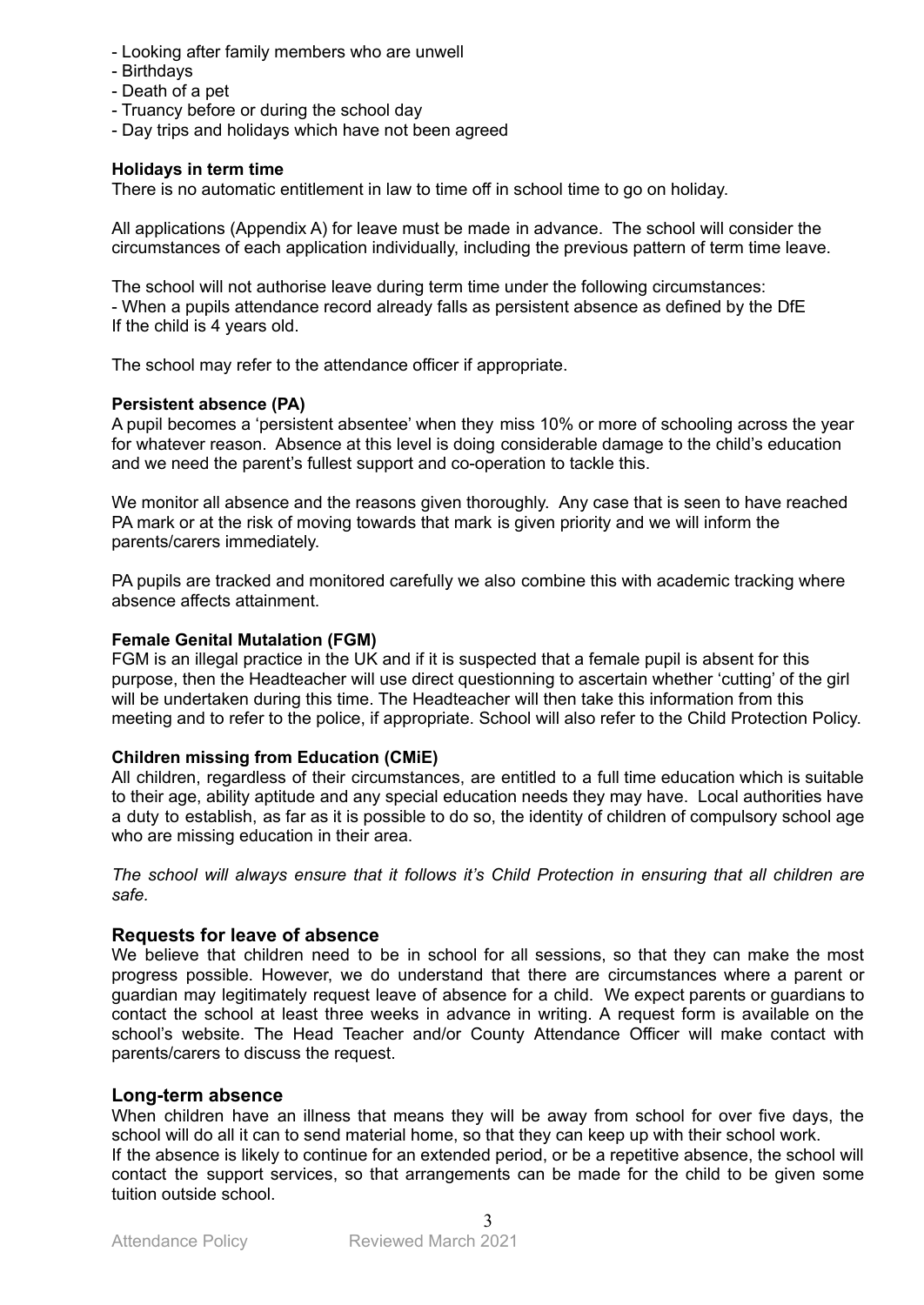- Looking after family members who are unwell
- Birthdays
- Death of a pet
- Truancy before or during the school day
- Day trips and holidays which have not been agreed

#### **Holidays in term time**

There is no automatic entitlement in law to time off in school time to go on holiday.

All applications (Appendix A) for leave must be made in advance. The school will consider the circumstances of each application individually, including the previous pattern of term time leave.

The school will not authorise leave during term time under the following circumstances: - When a pupils attendance record already falls as persistent absence as defined by the DfE If the child is 4 years old.

The school may refer to the attendance officer if appropriate.

#### **Persistent absence (PA)**

A pupil becomes a 'persistent absentee' when they miss 10% or more of schooling across the year for whatever reason. Absence at this level is doing considerable damage to the child's education and we need the parent's fullest support and co-operation to tackle this.

We monitor all absence and the reasons given thoroughly. Any case that is seen to have reached PA mark or at the risk of moving towards that mark is given priority and we will inform the parents/carers immediately.

PA pupils are tracked and monitored carefully we also combine this with academic tracking where absence affects attainment.

#### **Female Genital Mutalation (FGM)**

FGM is an illegal practice in the UK and if it is suspected that a female pupil is absent for this purpose, then the Headteacher will use direct questionning to ascertain whether 'cutting' of the girl will be undertaken during this time. The Headteacher will then take this information from this meeting and to refer to the police, if appropriate. School will also refer to the Child Protection Policy.

#### **Children missing from Education (CMiE)**

All children, regardless of their circumstances, are entitled to a full time education which is suitable to their age, ability aptitude and any special education needs they may have. Local authorities have a duty to establish, as far as it is possible to do so, the identity of children of compulsory school age who are missing education in their area.

*The school will always ensure that it follows it's Child Protection in ensuring that all children are safe.*

#### **Requests for leave of absence**

We believe that children need to be in school for all sessions, so that they can make the most progress possible. However, we do understand that there are circumstances where a parent or guardian may legitimately request leave of absence for a child. We expect parents or guardians to contact the school at least three weeks in advance in writing. A request form is available on the school's website. The Head Teacher and/or County Attendance Officer will make contact with parents/carers to discuss the request.

#### **Long-term absence**

When children have an illness that means they will be away from school for over five days, the school will do all it can to send material home, so that they can keep up with their school work.

If the absence is likely to continue for an extended period, or be a repetitive absence, the school will contact the support services, so that arrangements can be made for the child to be given some tuition outside school.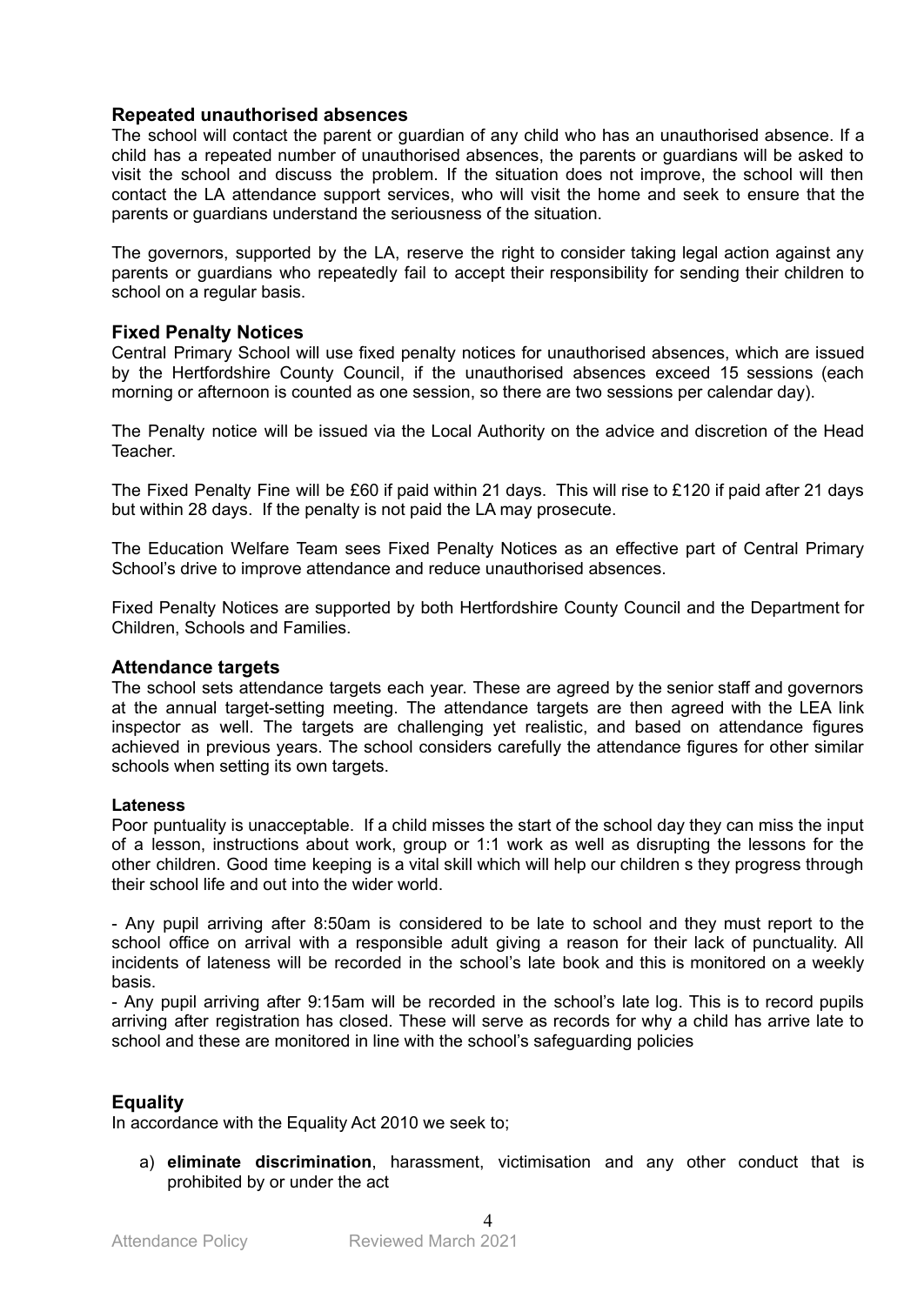#### **Repeated unauthorised absences**

The school will contact the parent or guardian of any child who has an unauthorised absence. If a child has a repeated number of unauthorised absences, the parents or guardians will be asked to visit the school and discuss the problem. If the situation does not improve, the school will then contact the LA attendance support services, who will visit the home and seek to ensure that the parents or guardians understand the seriousness of the situation.

The governors, supported by the LA, reserve the right to consider taking legal action against any parents or guardians who repeatedly fail to accept their responsibility for sending their children to school on a regular basis.

#### **Fixed Penalty Notices**

Central Primary School will use fixed penalty notices for unauthorised absences, which are issued by the Hertfordshire County Council, if the unauthorised absences exceed 15 sessions (each morning or afternoon is counted as one session, so there are two sessions per calendar day).

The Penalty notice will be issued via the Local Authority on the advice and discretion of the Head Teacher.

The Fixed Penalty Fine will be £60 if paid within 21 days. This will rise to £120 if paid after 21 days but within 28 days. If the penalty is not paid the LA may prosecute.

The Education Welfare Team sees Fixed Penalty Notices as an effective part of Central Primary School's drive to improve attendance and reduce unauthorised absences.

Fixed Penalty Notices are supported by both Hertfordshire County Council and the Department for Children, Schools and Families.

#### **Attendance targets**

The school sets attendance targets each year. These are agreed by the senior staff and governors at the annual target-setting meeting. The attendance targets are then agreed with the LEA link inspector as well. The targets are challenging yet realistic, and based on attendance figures achieved in previous years. The school considers carefully the attendance figures for other similar schools when setting its own targets.

#### **Lateness**

Poor puntuality is unacceptable. If a child misses the start of the school day they can miss the input of a lesson, instructions about work, group or 1:1 work as well as disrupting the lessons for the other children. Good time keeping is a vital skill which will help our children s they progress through their school life and out into the wider world.

- Any pupil arriving after 8:50am is considered to be late to school and they must report to the school office on arrival with a responsible adult giving a reason for their lack of punctuality. All incidents of lateness will be recorded in the school's late book and this is monitored on a weekly basis.

- Any pupil arriving after 9:15am will be recorded in the school's late log. This is to record pupils arriving after registration has closed. These will serve as records for why a child has arrive late to school and these are monitored in line with the school's safeguarding policies

#### **Equality**

In accordance with the Equality Act 2010 we seek to;

a) **eliminate discrimination**, harassment, victimisation and any other conduct that is prohibited by or under the act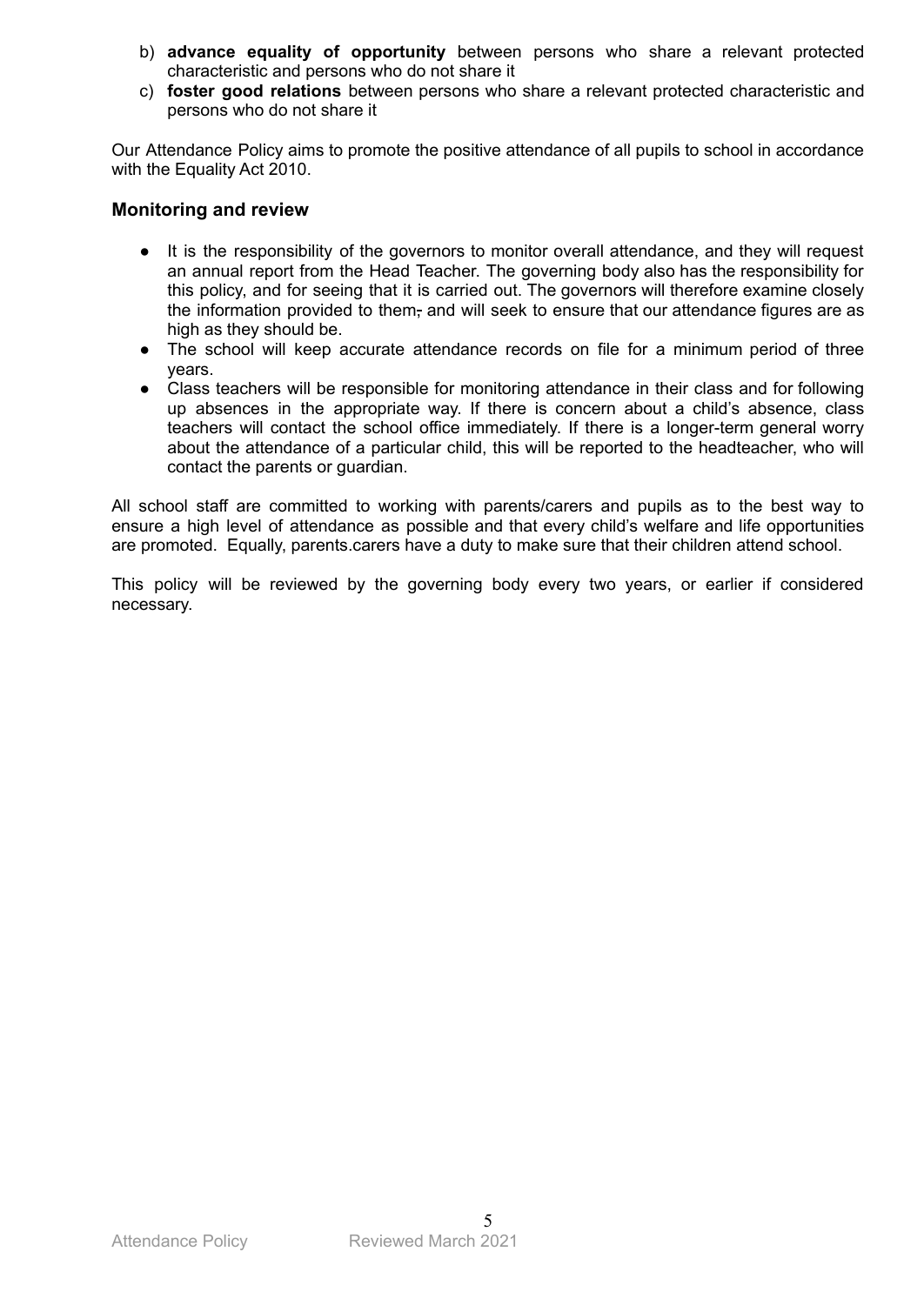- b) **advance equality of opportunity** between persons who share a relevant protected characteristic and persons who do not share it
- c) **foster good relations** between persons who share a relevant protected characteristic and persons who do not share it

Our Attendance Policy aims to promote the positive attendance of all pupils to school in accordance with the Equality Act 2010.

#### **Monitoring and review**

- It is the responsibility of the governors to monitor overall attendance, and they will request an annual report from the Head Teacher. The governing body also has the responsibility for this policy, and for seeing that it is carried out. The governors will therefore examine closely the information provided to them, and will seek to ensure that our attendance figures are as high as they should be.
- The school will keep accurate attendance records on file for a minimum period of three years.
- Class teachers will be responsible for monitoring attendance in their class and for following up absences in the appropriate way. If there is concern about a child's absence, class teachers will contact the school office immediately. If there is a longer-term general worry about the attendance of a particular child, this will be reported to the headteacher, who will contact the parents or guardian.

All school staff are committed to working with parents/carers and pupils as to the best way to ensure a high level of attendance as possible and that every child's welfare and life opportunities are promoted. Equally, parents.carers have a duty to make sure that their children attend school.

This policy will be reviewed by the governing body every two years, or earlier if considered necessary.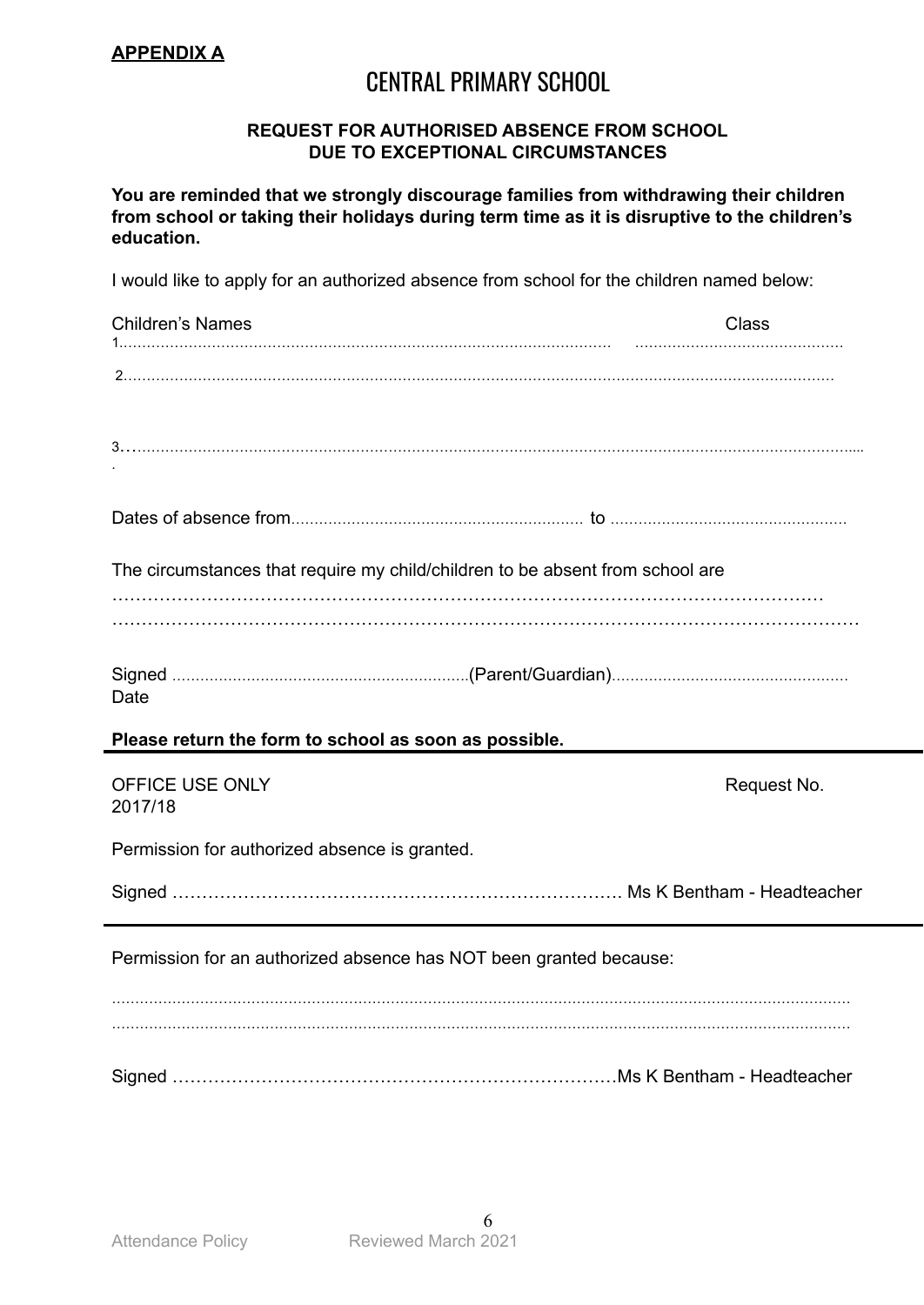### CENTRAL PRIMARY SCHOOL

#### **REQUEST FOR AUTHORISED ABSENCE FROM SCHOOL DUE TO EXCEPTIONAL CIRCUMSTANCES**

**You are reminded that we strongly discourage families from withdrawing their children from school or taking their holidays during term time as it is disruptive to the children's education.**

I would like to apply for an authorized absence from school for the children named below:

| <b>Children's Names</b>                                                       | <b>Class</b> |
|-------------------------------------------------------------------------------|--------------|
|                                                                               |              |
|                                                                               |              |
|                                                                               |              |
|                                                                               |              |
|                                                                               |              |
|                                                                               |              |
|                                                                               |              |
|                                                                               |              |
| The circumstances that require my child/children to be absent from school are |              |
|                                                                               |              |
|                                                                               |              |
|                                                                               |              |
| Date                                                                          |              |
| Please return the form to school as soon as possible.                         |              |
|                                                                               |              |
| OFFICE USE ONLY                                                               | Request No.  |
| 2017/18                                                                       |              |
| Permission for authorized absence is granted.                                 |              |
|                                                                               |              |
|                                                                               |              |
|                                                                               |              |
| Permission for an authorized absence has NOT been granted because:            |              |
|                                                                               |              |
|                                                                               |              |
|                                                                               |              |
|                                                                               |              |
|                                                                               |              |